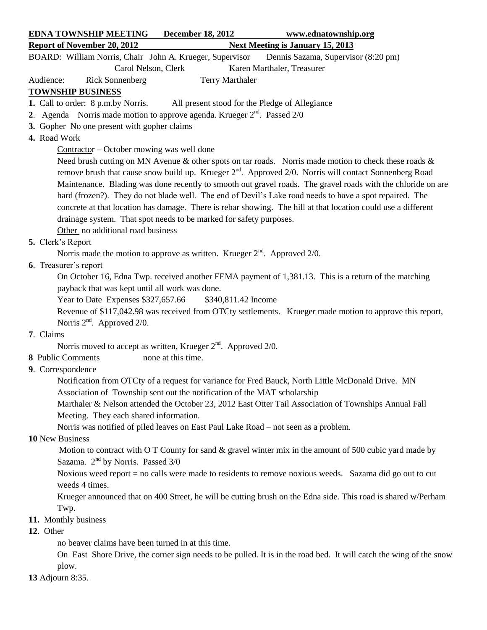| <b>EDNA TOWNSHIP MEETING December 18, 2012</b>                                                                 |                                                                                     | www.ednatownship.org                                                                                               |  |  |
|----------------------------------------------------------------------------------------------------------------|-------------------------------------------------------------------------------------|--------------------------------------------------------------------------------------------------------------------|--|--|
| <b>Report of November 20, 2012</b>                                                                             |                                                                                     | <b>Next Meeting is January 15, 2013</b>                                                                            |  |  |
| BOARD: William Norris, Chair John A. Krueger, Supervisor                                                       |                                                                                     | Dennis Sazama, Supervisor (8:20 pm)                                                                                |  |  |
| Carol Nelson, Clerk                                                                                            |                                                                                     | Karen Marthaler, Treasurer                                                                                         |  |  |
| <b>Rick Sonnenberg</b><br>Audience:                                                                            | Terry Marthaler                                                                     |                                                                                                                    |  |  |
| <b>TOWNSHIP BUSINESS</b>                                                                                       |                                                                                     |                                                                                                                    |  |  |
| 1. Call to order: 8 p.m.by Norris.                                                                             | All present stood for the Pledge of Allegiance                                      |                                                                                                                    |  |  |
| 2. Agenda Norris made motion to approve agenda. Krueger $2^{nd}$ . Passed $2/0$                                |                                                                                     |                                                                                                                    |  |  |
| 3. Gopher No one present with gopher claims                                                                    |                                                                                     |                                                                                                                    |  |  |
| 4. Road Work                                                                                                   |                                                                                     |                                                                                                                    |  |  |
| Contractor – October mowing was well done                                                                      |                                                                                     |                                                                                                                    |  |  |
| Need brush cutting on MN Avenue $\&$ other spots on tar roads. Norris made motion to check these roads $\&$    |                                                                                     |                                                                                                                    |  |  |
| remove brush that cause snow build up. Krueger $2^{nd}$ . Approved $2/0$ . Norris will contact Sonnenberg Road |                                                                                     |                                                                                                                    |  |  |
| Maintenance. Blading was done recently to smooth out gravel roads. The gravel roads with the chloride on are   |                                                                                     |                                                                                                                    |  |  |
| hard (frozen?). They do not blade well. The end of Devil's Lake road needs to have a spot repaired. The        |                                                                                     |                                                                                                                    |  |  |
| concrete at that location has damage. There is rebar showing. The hill at that location could use a different  |                                                                                     |                                                                                                                    |  |  |
| drainage system. That spot needs to be marked for safety purposes.                                             |                                                                                     |                                                                                                                    |  |  |
| Other no additional road business                                                                              |                                                                                     |                                                                                                                    |  |  |
| 5. Clerk's Report                                                                                              |                                                                                     |                                                                                                                    |  |  |
|                                                                                                                | Norris made the motion to approve as written. Krueger $2nd$ . Approved $2/0$ .      |                                                                                                                    |  |  |
| 6. Treasurer's report                                                                                          |                                                                                     |                                                                                                                    |  |  |
| On October 16, Edna Twp. received another FEMA payment of 1,381.13. This is a return of the matching           |                                                                                     |                                                                                                                    |  |  |
| payback that was kept until all work was done.                                                                 |                                                                                     |                                                                                                                    |  |  |
| Year to Date Expenses \$327,657.66<br>\$340,811.42 Income                                                      |                                                                                     |                                                                                                                    |  |  |
| Revenue of \$117,042.98 was received from OTCty settlements. Krueger made motion to approve this report,       |                                                                                     |                                                                                                                    |  |  |
| Norris $2nd$ . Approved $2/0$ .                                                                                |                                                                                     |                                                                                                                    |  |  |
| 7. Claims                                                                                                      |                                                                                     |                                                                                                                    |  |  |
| Norris moved to accept as written, Krueger $2nd$ . Approved 2/0.                                               |                                                                                     |                                                                                                                    |  |  |
| 8 Public Comments                                                                                              | none at this time.                                                                  |                                                                                                                    |  |  |
| 9. Correspondence                                                                                              |                                                                                     |                                                                                                                    |  |  |
|                                                                                                                |                                                                                     | Notification from OTCty of a request for variance for Fred Bauck, North Little McDonald Drive. MN                  |  |  |
|                                                                                                                | Association of Township sent out the notification of the MAT scholarship            |                                                                                                                    |  |  |
|                                                                                                                |                                                                                     | Marthaler & Nelson attended the October 23, 2012 East Otter Tail Association of Townships Annual Fall              |  |  |
| Meeting. They each shared information.                                                                         |                                                                                     |                                                                                                                    |  |  |
| 10 New Business                                                                                                | Norris was notified of piled leaves on East Paul Lake Road - not seen as a problem. |                                                                                                                    |  |  |
|                                                                                                                |                                                                                     | Motion to contract with O T County for sand & gravel winter mix in the amount of 500 cubic yard made by            |  |  |
| Sazama. $2nd$ by Norris. Passed 3/0                                                                            |                                                                                     |                                                                                                                    |  |  |
|                                                                                                                |                                                                                     | Noxious weed report $=$ no calls were made to residents to remove noxious weeds. Sazama did go out to cut          |  |  |
| weeds 4 times.                                                                                                 |                                                                                     |                                                                                                                    |  |  |
|                                                                                                                |                                                                                     | Krueger announced that on 400 Street, he will be cutting brush on the Edna side. This road is shared w/Perham      |  |  |
| Twp.                                                                                                           |                                                                                     |                                                                                                                    |  |  |
| 11. Monthly business                                                                                           |                                                                                     |                                                                                                                    |  |  |
| 12. Other                                                                                                      |                                                                                     |                                                                                                                    |  |  |
| no beaver claims have been turned in at this time.                                                             |                                                                                     |                                                                                                                    |  |  |
|                                                                                                                |                                                                                     | On East Shore Drive, the corner sign needs to be pulled. It is in the road bed. It will catch the wing of the snow |  |  |
| plow.                                                                                                          |                                                                                     |                                                                                                                    |  |  |
|                                                                                                                |                                                                                     |                                                                                                                    |  |  |

**13** Adjourn 8:35.